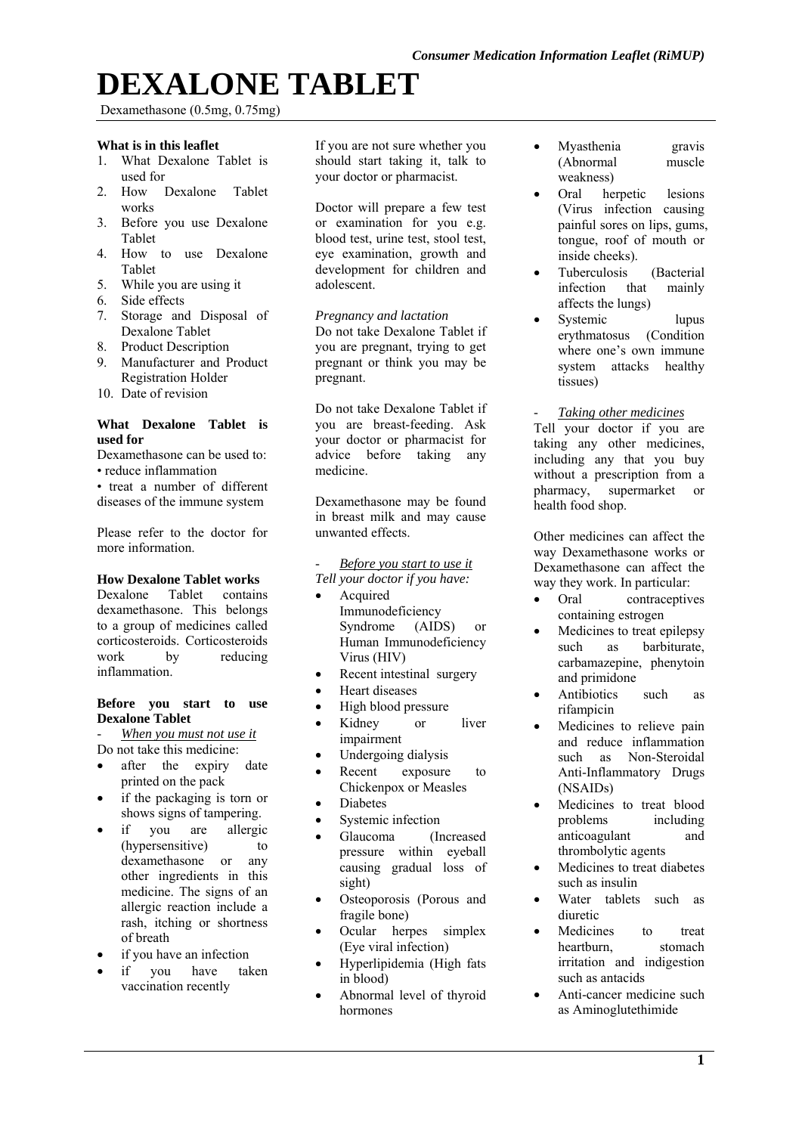# **DEXALONE TABLET**

Dexamethasone (0.5mg, 0.75mg)

## **What is in this leaflet**

- 1. What Dexalone Tablet is used for
- 2. How Dexalone Tablet works
- 3. Before you use Dexalone Tablet
- 4. How to use Dexalone Tablet
- 5. While you are using it
- 6. Side effects
- 7. Storage and Disposal of Dexalone Tablet
- 8. Product Description
- 9. Manufacturer and Product Registration Holder
- 10. Date of revision

#### **What Dexalone Tablet is used for**

Dexamethasone can be used to: • reduce inflammation

• treat a number of different diseases of the immune system

Please refer to the doctor for more information.

## **How Dexalone Tablet works**

Dexalone Tablet contains dexamethasone. This belongs to a group of medicines called corticosteroids. Corticosteroids work by reducing inflammation.

### **Before you start to use Dexalone Tablet**

- *When you must not use it* 

- Do not take this medicine:
- after the expiry date printed on the pack
- if the packaging is torn or shows signs of tampering.
- if you are allergic (hypersensitive) to dexamethasone or any other ingredients in this medicine. The signs of an allergic reaction include a rash, itching or shortness of breath
- if you have an infection
- if you have taken vaccination recently

If you are not sure whether you should start taking it, talk to your doctor or pharmacist.

Doctor will prepare a few test or examination for you e.g. blood test, urine test, stool test, eye examination, growth and development for children and adolescent.

## *Pregnancy and lactation*

Do not take Dexalone Tablet if you are pregnant, trying to get pregnant or think you may be pregnant.

Do not take Dexalone Tablet if you are breast-feeding. Ask your doctor or pharmacist for advice before taking any medicine.

Dexamethasone may be found in breast milk and may cause unwanted effects.

- *Before you start to use it Tell your doctor if you have:* 

- Acquired Immunodeficiency Syndrome (AIDS) or Human Immunodeficiency Virus (HIV)
- Recent intestinal surgery
- Heart diseases
- High blood pressure
- Kidney or liver impairment
- Undergoing dialysis
- Recent exposure to Chickenpox or Measles
- **•** Diabetes
- Systemic infection
- Glaucoma (Increased pressure within eyeball causing gradual loss of sight)
- Osteoporosis (Porous and fragile bone)
- Ocular herpes simplex (Eye viral infection)
- Hyperlipidemia (High fats in blood)
- Abnormal level of thyroid hormones
- Myasthenia gravis (Abnormal muscle weakness)
- Oral herpetic lesions (Virus infection causing painful sores on lips, gums, tongue, roof of mouth or inside cheeks).
- Tuberculosis (Bacterial infection that mainly affects the lungs)
- Systemic lupus erythmatosus (Condition where one's own immune system attacks healthy tissues)
- *Taking other medicines*

Tell your doctor if you are taking any other medicines, including any that you buy without a prescription from a pharmacy, supermarket or health food shop.

Other medicines can affect the way Dexamethasone works or Dexamethasone can affect the way they work. In particular:

- Oral contraceptives containing estrogen
- Medicines to treat epilepsy such as barbiturate, carbamazepine, phenytoin and primidone
- Antibiotics such as rifampicin
- Medicines to relieve pain and reduce inflammation such as Non-Steroidal Anti-Inflammatory Drugs (NSAIDs)
- Medicines to treat blood problems including anticoagulant and thrombolytic agents
- Medicines to treat diabetes such as insulin
- Water tablets such as diuretic
- Medicines to treat heartburn, stomach irritation and indigestion such as antacids
- Anti-cancer medicine such as Aminoglutethimide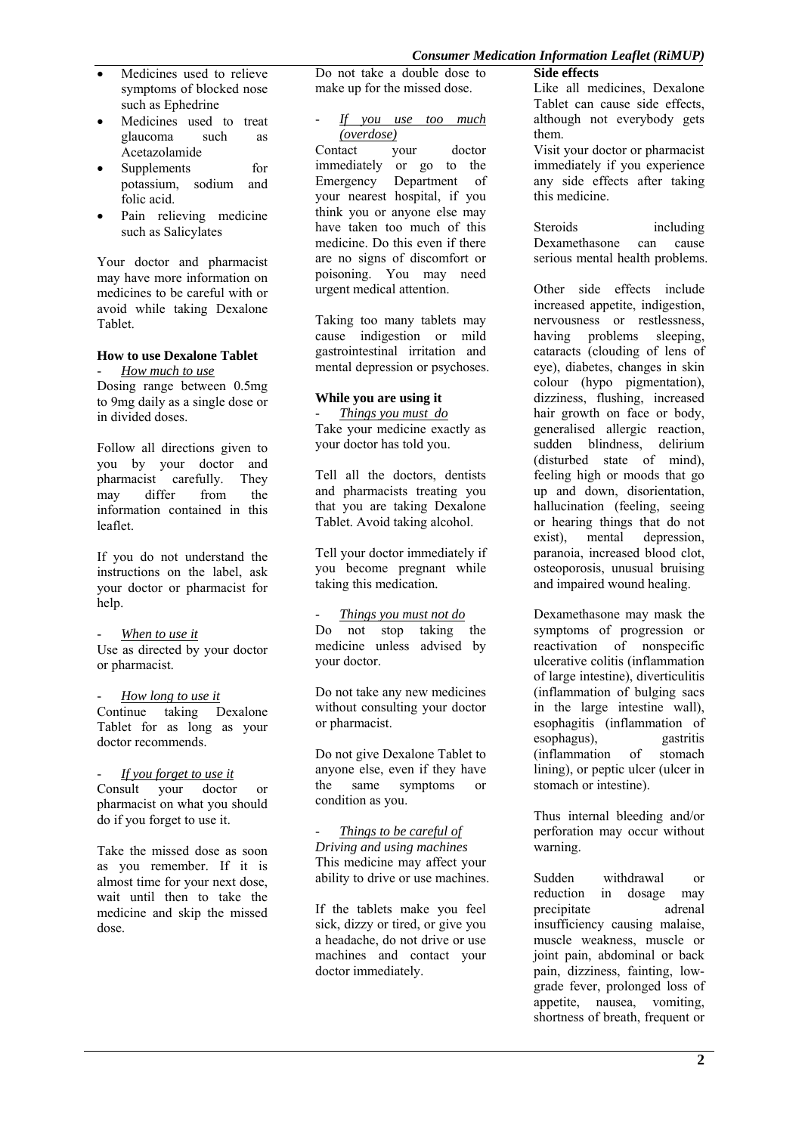- Medicines used to relieve symptoms of blocked nose such as Ephedrine
- Medicines used to treat glaucoma such as Acetazolamide
- Supplements for potassium, sodium and folic acid.
- Pain relieving medicine such as Salicylates

Your doctor and pharmacist may have more information on medicines to be careful with or avoid while taking Dexalone Tablet.

## **How to use Dexalone Tablet**

- *How much to use*  Dosing range between 0.5mg to 9mg daily as a single dose or in divided doses.

Follow all directions given to you by your doctor and pharmacist carefully. They may differ from the information contained in this leaflet.

If you do not understand the instructions on the label, ask your doctor or pharmacist for help.

### When to use it

Use as directed by your doctor or pharmacist.

How long to use it Continue taking Dexalone Tablet for as long as your doctor recommends.

*<u>If you forget to use it</u>* Consult your doctor or pharmacist on what you should do if you forget to use it.

Take the missed dose as soon as you remember. If it is almost time for your next dose, wait until then to take the medicine and skip the missed dose.

Do not take a double dose to make up for the missed dose.

- *If you use too much (overdose)* 

Contact your doctor immediately or go to the Emergency Department of your nearest hospital, if you think you or anyone else may have taken too much of this medicine. Do this even if there are no signs of discomfort or poisoning. You may need urgent medical attention.

Taking too many tablets may cause indigestion or mild gastrointestinal irritation and mental depression or psychoses.

## **While you are using it**

- *Things you must do*  Take your medicine exactly as your doctor has told you.

Tell all the doctors, dentists and pharmacists treating you that you are taking Dexalone Tablet. Avoid taking alcohol.

Tell your doctor immediately if you become pregnant while taking this medication*.* 

### - *Things you must not do*

Do not stop taking the medicine unless advised by your doctor.

Do not take any new medicines without consulting your doctor or pharmacist.

Do not give Dexalone Tablet to anyone else, even if they have the same symptoms or condition as you.

*Things to be careful of Driving and using machines*  This medicine may affect your ability to drive or use machines.

If the tablets make you feel sick, dizzy or tired, or give you a headache, do not drive or use machines and contact your doctor immediately.

Like all medicines, Dexalone Tablet can cause side effects, although not everybody gets them.

Visit your doctor or pharmacist immediately if you experience any side effects after taking this medicine.

Steroids including Dexamethasone can cause serious mental health problems.

Other side effects include increased appetite, indigestion, nervousness or restlessness. having problems sleeping, cataracts (clouding of lens of eye), diabetes, changes in skin colour (hypo pigmentation), dizziness, flushing, increased hair growth on face or body, generalised allergic reaction, sudden blindness, delirium (disturbed state of mind), feeling high or moods that go up and down, disorientation, hallucination (feeling, seeing or hearing things that do not exist), mental depression, paranoia, increased blood clot, osteoporosis, unusual bruising and impaired wound healing.

Dexamethasone may mask the symptoms of progression or reactivation of nonspecific ulcerative colitis (inflammation of large intestine), diverticulitis (inflammation of bulging sacs in the large intestine wall), esophagitis (inflammation of<br>esophagus) pastritis esophagus). (inflammation of stomach lining), or peptic ulcer (ulcer in stomach or intestine).

Thus internal bleeding and/or perforation may occur without warning.

Sudden withdrawal or reduction in dosage may precipitate adrenal insufficiency causing malaise, muscle weakness, muscle or joint pain, abdominal or back pain, dizziness, fainting, lowgrade fever, prolonged loss of appetite, nausea, vomiting, shortness of breath, frequent or